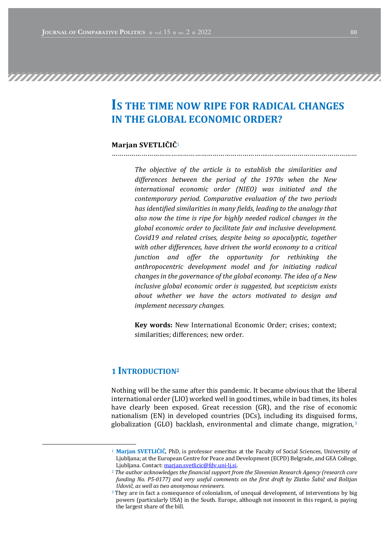# IS THE TIME NOW RIPE FOR RADICAL CHANGES IN THE GLOBAL ECONOMIC ORDER?

…………………………………………………………………….………………………………………

### Marjan SVETLIČIČ<sup>1</sup>

The objective of the article is to establish the similarities and differences between the period of the 1970s when the New international economic order (NIEO) was initiated and the contemporary period. Comparative evaluation of the two periods has identified similarities in many fields, leading to the analogy that also now the time is ripe for highly needed radical changes in the global economic order to facilitate fair and inclusive development. Covid19 and related crises, despite being so apocalyptic, together with other differences, have driven the world economy to a critical junction and offer the opportunity for rethinking the anthropocentric development model and for initiating radical changes in the governance of the global economy. The idea of a New inclusive global economic order is suggested, but scepticism exists about whether we have the actors motivated to design and implement necessary changes.

Key words: New International Economic Order; crises; context; similarities: differences: new order.

## 1 **INTRODUCTION**<sup>2</sup>

Nothing will be the same after this pandemic. It became obvious that the liberal international order (LIO) worked well in good times, while in bad times, its holes have clearly been exposed. Great recession (GR), and the rise of economic nationalism  $(EN)$  in developed countries  $(DCs)$ , including its disguised forms, globalization  $(GLO)$  backlash, environmental and climate change, migration,  $3$ 

<sup>&</sup>lt;sup>1</sup> Marjan SVETLIČIČ, PhD, is professor emeritus at the Faculty of Social Sciences, University of Ljubljana; at the European Centre for Peace and Development (ECPD) Belgrade, and GEA College, Ljubljana. Contact: marjan.svetlicic@fdv.uni-lj.si.

 $2$  The author acknowledges the financial support from the Slovenian Research Agency (research core funding No. P5-0177) and very useful comments on the first draft by Zlatko Šabič and Boštjan Udovič, as well as two anonymous reviewers.

<sup>&</sup>lt;sup>3</sup> They are in fact a consequence of colonialism, of unequal development, of interventions by big powers (particularly USA) in the South. Europe, although not innocent in this regard, is paying the largest share of the bill.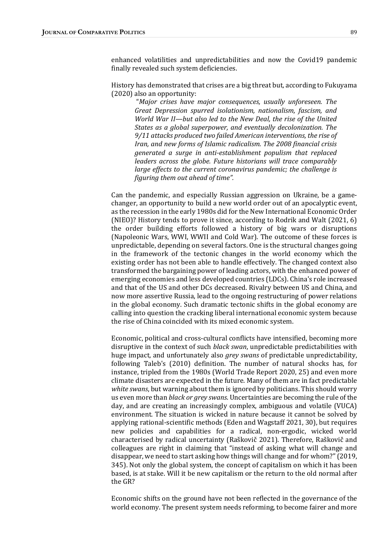enhanced volatilities and unpredictabilities and now the Covid19 pandemic finally revealed such system deficiencies.

History has demonstrated that crises are a big threat but, according to Fukuyama  $(2020)$  also an opportunity:

"Major crises have major consequences, usually unforeseen. The Great Depression spurred isolationism, nationalism, fascism, and World War II—but also led to the New Deal, the rise of the United States as a global superpower, and eventually decolonization. The 9/11 attacks produced two failed American interventions, the rise of Iran, and new forms of Islamic radicalism. The 2008 financial crisis generated a surge in anti-establishment populism that replaced leaders across the globe. Future historians will trace comparably large effects to the current coronavirus pandemic; the challenge is figuring them out ahead of time".

Can the pandemic, and especially Russian aggression on Ukraine, be a gamechanger, an opportunity to build a new world order out of an apocalyptic event, as the recession in the early 1980s did for the New International Economic Order (NIEO)? History tends to prove it since, according to Rodrik and Walt  $(2021, 6)$ the order building efforts followed a history of big wars or disruptions (Napoleonic Wars, WWI, WWII and Cold War). The outcome of these forces is unpredictable, depending on several factors. One is the structural changes going in the framework of the tectonic changes in the world economy which the existing order has not been able to handle effectively. The changed context also transformed the bargaining power of leading actors, with the enhanced power of emerging economies and less developed countries (LDCs). China's role increased and that of the US and other DCs decreased. Rivalry between US and China, and now more assertive Russia, lead to the ongoing restructuring of power relations in the global economy. Such dramatic tectonic shifts in the global economy are calling into question the cracking liberal international economic system because the rise of China coincided with its mixed economic system.

Economic, political and cross-cultural conflicts have intensified, becoming more disruptive in the context of such *black swan*, unpredictable predictabilities with huge impact, and unfortunately also grey swans of predictable unpredictability, following Taleb's (2010) definition. The number of natural shocks has, for instance, tripled from the 1980s (World Trade Report 2020, 25) and even more climate disasters are expected in the future. Many of them are in fact predictable white swans, but warning about them is ignored by politicians. This should worry us even more than *black or grey swans*. Uncertainties are becoming the rule of the day, and are creating an increasingly complex, ambiguous and volatile (VUCA) environment. The situation is wicked in nature because it cannot be solved by applying rational-scientific methods (Eden and Wagstaff 2021, 30), but requires new policies and capabilities for a radical, non-ergodic, wicked world characterised by radical uncertainty (Raškovič 2021). Therefore, Raškovič and colleagues are right in claiming that "instead of asking what will change and disappear, we need to start asking how things will change and for whom?" (2019, 345). Not only the global system, the concept of capitalism on which it has been based, is at stake. Will it be new capitalism or the return to the old normal after the GR?

Economic shifts on the ground have not been reflected in the governance of the world economy. The present system needs reforming, to become fairer and more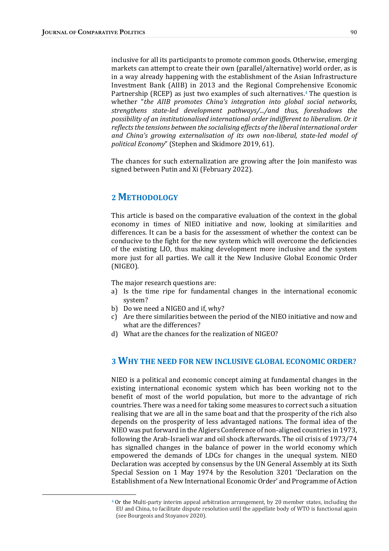inclusive for all its participants to promote common goods. Otherwise, emerging markets can attempt to create their own (parallel/alternative) world order, as is in a way already happening with the establishment of the Asian Infrastructure Investment Bank (AIIB) in 2013 and the Regional Comprehensive Economic Partnership (RCEP) as just two examples of such alternatives. $4$  The question is whether "the AIIB promotes China's integration into global social networks, strengthens state-led development pathways/.../and thus, foreshadows the possibility of an institutionalised international order indifferent to liberalism. Or it reflects the tensions between the socialising effects of the liberal international order and China's growing externalisation of its own non-liberal, state-led model of political Economy" (Stephen and Skidmore 2019, 61).

The chances for such externalization are growing after the Join manifesto was signed between Putin and Xi (February 2022).

# 2 METHODOLOGY

This article is based on the comparative evaluation of the context in the global economy in times of NIEO initiative and now, looking at similarities and differences. It can be a basis for the assessment of whether the context can be conducive to the fight for the new system which will overcome the deficiencies of the existing LIO, thus making development more inclusive and the system more just for all parties. We call it the New Inclusive Global Economic Order (NIGEO). 

The major research questions are:

- a) Is the time ripe for fundamental changes in the international economic system?
- b) Do we need a NIGEO and if, why?
- c) Are there similarities between the period of the NIEO initiative and now and what are the differences?
- d) What are the chances for the realization of NIGEO?

# 3 WHY THE NEED FOR NEW INCLUSIVE GLOBAL ECONOMIC ORDER?

NIEO is a political and economic concept aiming at fundamental changes in the existing international economic system which has been working not to the benefit of most of the world population, but more to the advantage of rich countries. There was a need for taking some measures to correct such a situation realising that we are all in the same boat and that the prosperity of the rich also depends on the prosperity of less advantaged nations. The formal idea of the NIEO was put forward in the Algiers Conference of non-aligned countries in 1973, following the Arab-Israeli war and oil shock afterwards. The oil crisis of 1973/74 has signalled changes in the balance of power in the world economy which empowered the demands of LDCs for changes in the unequal system. NIEO Declaration was accepted by consensus by the UN General Assembly at its Sixth Special Session on 1 May 1974 by the Resolution 3201 'Declaration on the Establishment of a New International Economic Order' and Programme of Action

 $4$  Or the Multi-party interim appeal arbitration arrangement, by 20 member states, including the EU and China, to facilitate dispute resolution until the appellate body of WTO is functional again (see Bourgeois and Stoyanov 2020).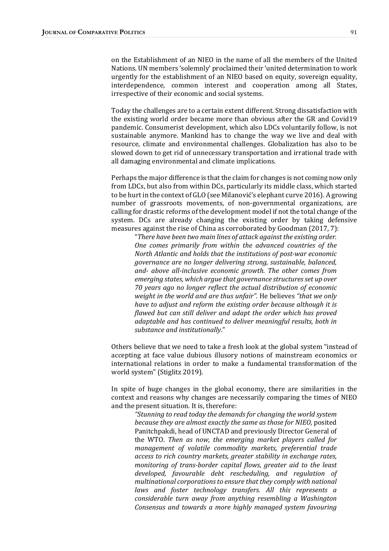on the Establishment of an NIEO in the name of all the members of the United Nations. UN members 'solemnly' proclaimed their 'united determination to work urgently for the establishment of an NIEO based on equity, sovereign equality, interdependence, common interest and cooperation among all States, irrespective of their economic and social systems.

Today the challenges are to a certain extent different. Strong dissatisfaction with the existing world order became more than obvious after the GR and Covid19 pandemic. Consumerist development, which also LDCs voluntarily follow, is not sustainable anymore. Mankind has to change the way we live and deal with resource, climate and environmental challenges. Globalization has also to be slowed down to get rid of unnecessary transportation and irrational trade with all damaging environmental and climate implications.

Perhaps the major difference is that the claim for changes is not coming now only from LDCs, but also from within DCs, particularly its middle class, which started to be hurt in the context of GLO (see Milanović's elephant curve 2016). A growing number of grassroots movements, of non-governmental organizations, are calling for drastic reforms of the development model if not the total change of the system. DCs are already changing the existing order by taking defensive measures against the rise of China as corroborated by Goodman  $(2017, 7)$ :

"There have been two main lines of attack against the existing order. One comes primarily from within the advanced countries of the North Atlantic and holds that the institutions of post-war economic governance are no longer delivering strong, sustainable, balanced, and- above all-inclusive economic growth. The other comes from emerging states, which argue that governance structures set up over 70 years ago no longer reflect the actual distribution of economic weight in the world and are thus unfair". He believes "that we only have to adjust and reform the existing order because although it is flawed but can still deliver and adapt the order which has proved adaptable and has continued to deliver meaningful results, both in substance and institutionally."

Others believe that we need to take a fresh look at the global system "instead of accepting at face value dubious illusory notions of mainstream economics or international relations in order to make a fundamental transformation of the world system" (Stiglitz 2019).

In spite of huge changes in the global economy, there are similarities in the context and reasons why changes are necessarily comparing the times of NIEO and the present situation. It is, therefore:

"Stunning to read today the demands for changing the world system because they are almost exactly the same as those for NIEO, posited Panitchpakdi, head of UNCTAD and previously Director General of the WTO. Then as now, the emerging market players called for management of volatile commodity markets, preferential trade access to rich country markets, greater stability in exchange rates, monitoring of trans-border capital flows, greater aid to the least developed, favourable debt rescheduling, and regulation of multinational corporations to ensure that they comply with national laws and foster technology transfers. All this represents a considerable turn away from anything resembling a Washington Consensus and towards a more highly managed system favouring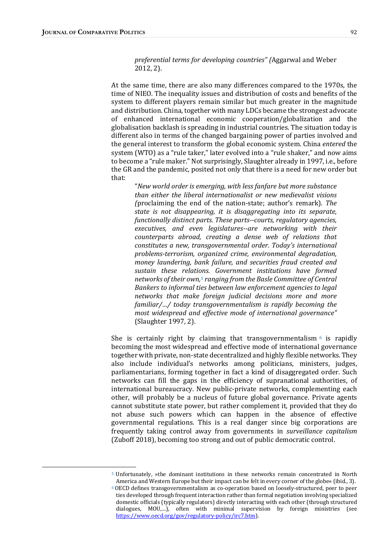preferential terms for developing countries" (Aggarwal and Weber 2012, 2).

At the same time, there are also many differences compared to the 1970s, the time of NIEO. The inequality issues and distribution of costs and benefits of the system to different players remain similar but much greater in the magnitude and distribution. China, together with many LDCs became the strongest advocate of enhanced international economic cooperation/globalization and the globalisation backlash is spreading in industrial countries. The situation today is different also in terms of the changed bargaining power of parties involved and the general interest to transform the global economic system. China *entered* the system (WTO) as a "rule taker," later evolved into a "rule shaker," and now aims to become a "rule maker." Not surprisingly, Slaughter already in 1997, i.e., before the GR and the pandemic, posited not only that there is a need for new order but that: 

"New world order is emerging, with less fanfare but more substance than either the liberal internationalist or new medievalist visions (proclaiming the end of the nation-state; author's remark). The state is not disappearing, it is disaggregating into its separate, functionally distinct parts. These parts--courts, regulatory agencies, executives, and even legislatures--are networking with their counterparts abroad, creating a dense web of relations that constitutes a new, transgovernmental order. Today's international problems-terrorism, organized crime, environmental degradation, money laundering, bank failure, and securities fraud created and sustain these relations. Government institutions have formed networks of their own,<sup>5</sup> ranging from the Basle Committee of Central Bankers to informal ties between law enforcement agencies to legal networks that make foreign judicial decisions more and more  $f$ amiliar/.../ today transgovernmentalism is rapidly becoming the most widespread and effective mode of international governance" (Slaughter 1997, 2).

She is certainly right by claiming that transgovernmentalism  $\epsilon$  is rapidly becoming the most widespread and effective mode of international governance together with private, non-state decentralized and highly flexible networks. They also include individual's networks among politicians, ministers, judges, parliamentarians, forming together in fact a kind of disaggregated order. Such networks can fill the gaps in the efficiency of supranational authorities, of international bureaucracy. New public-private networks, complementing each other, will probably be a nucleus of future global governance. Private agents cannot substitute state power, but rather complement it, provided that they do not abuse such powers which can happen in the absence of effective governmental regulations. This is a real danger since big corporations are frequently taking control away from governments in *surveillance capitalism* (Zuboff 2018), becoming too strong and out of public democratic control.

<sup>5</sup> Unfortunately, »the dominant institutions in these networks remain concentrated in North America and Western Europe but their impact can be felt in every corner of the globe« (ibid., 3).

 $6$  OECD defines transgovernmentalism as co-operation based on loosely-structured, peer to peer ties developed through frequent interaction rather than formal negotiation involving specialized domestic officials (typically regulators) directly interacting with each other (through structured dialogues, MOU,...), often with minimal supervision by foreign ministries (see https://www.oecd.org/gov/regulatory-policy/irc7.htm).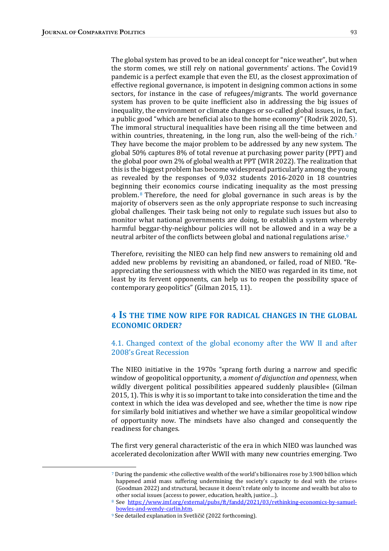The global system has proved to be an ideal concept for "nice weather", but when the storm comes, we still rely on national governments' actions. The Covid19 pandemic is a perfect example that even the EU, as the closest approximation of effective regional governance, is impotent in designing common actions in some sectors, for instance in the case of refugees/migrants. The world governance system has proven to be quite inefficient also in addressing the big issues of inequality, the environment or climate changes or so-called global issues, in fact, a public good "which are beneficial also to the home economy" (Rodrik 2020, 5). The immoral structural inequalities have been rising all the time between and within countries, threatening, in the long run, also the well-being of the rich.<sup>7</sup> They have become the major problem to be addressed by any new system. The global  $50\%$  captures  $8\%$  of total revenue at purchasing power parity (PPT) and the global poor own 2% of global wealth at PPT (WIR 2022). The realization that this is the biggest problem has become widespread particularly among the young as revealed by the responses of  $9,032$  students  $2016-2020$  in 18 countries beginning their economics course indicating inequality as the most pressing problem.<sup>8</sup> Therefore, the need for global governance in such areas is by the majority of observers seen as the only appropriate response to such increasing global challenges. Their task being not only to regulate such issues but also to monitor what national governments are doing, to establish a system whereby harmful beggar-thy-neighbour policies will not be allowed and in a way be a neutral arbiter of the conflicts between global and national regulations arise.<sup>9</sup>

Therefore, revisiting the NIEO can help find new answers to remaining old and added new problems by revisiting an abandoned, or failed, road of NIEO. "Reappreciating the seriousness with which the NIEO was regarded in its time, not least by its fervent opponents, can help us to reopen the possibility space of contemporary geopolitics" (Gilman 2015, 11).

## 4 IS THE TIME NOW RIPE FOR RADICAL CHANGES IN THE GLOBAL ECONOMIC ORDER?

4.1. Changed context of the global economy after the WW II and after 2008's Great Recession

The NIEO initiative in the 1970s "sprang forth during a narrow and specific window of geopolitical opportunity, a *moment of disjunction and openness*, when wildly divergent political possibilities appeared suddenly plausible (Gilman 2015, 1). This is why it is so important to take into consideration the time and the context in which the idea was developed and see, whether the time is now ripe for similarly bold initiatives and whether we have a similar geopolitical window of opportunity now. The mindsets have also changed and consequently the readiness for changes.

The first very general characteristic of the era in which NIEO was launched was accelerated decolonization after WWII with many new countries emerging. Two

<sup>7</sup> During the pandemic »the collective wealth of the world's billionaires rose by 3.900 billion which happened amid mass suffering undermining the society's capacity to deal with the crises« (Goodman 2022) and structural, because it doesn't relate only to income and wealth but also to other social issues (access to power, education, health, justice...).

<sup>&</sup>lt;sup>8</sup> See https://www.imf.org/external/pubs/ft/fandd/2021/03/rethinking-economics-by-samuelbowles-and-wendy-carlin.htm.

<sup>&</sup>lt;sup>9</sup> See detailed explanation in Svetličič (2022 forthcoming).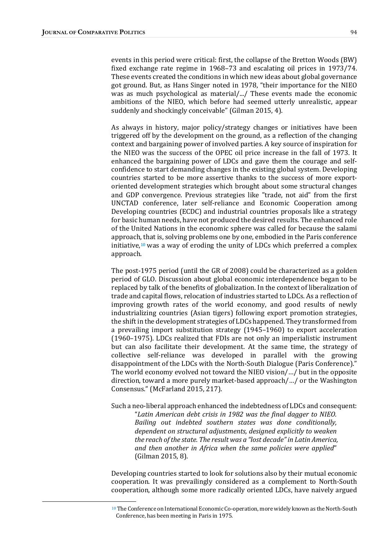events in this period were critical: first, the collapse of the Bretton Woods (BW) fixed exchange rate regime in  $1968-73$  and escalating oil prices in  $1973/74$ . These events created the conditions in which new ideas about global governance got ground. But, as Hans Singer noted in 1978, "their importance for the NIEO was as much psychological as material/.../ These events made the economic ambitions of the NIEO, which before had seemed utterly unrealistic, appear suddenly and shockingly conceivable" (Gilman 2015, 4).

As always in history, major policy/strategy changes or initiatives have been triggered off by the development on the ground, as a reflection of the changing context and bargaining power of involved parties. A key source of inspiration for the NIEO was the success of the OPEC oil price increase in the fall of 1973. It enhanced the bargaining power of LDCs and gave them the courage and selfconfidence to start demanding changes in the existing global system. Developing countries started to be more assertive thanks to the success of more exportoriented development strategies which brought about some structural changes and GDP convergence. Previous strategies like "trade, not aid" from the first UNCTAD conference, later self-reliance and Economic Cooperation among Developing countries (ECDC) and industrial countries proposals like a strategy for basic human needs, have not produced the desired results. The enhanced role of the United Nations in the economic sphere was called for because the salami approach, that is, solving problems one by one, embodied in the Paris conference initiative,<sup>10</sup> was a way of eroding the unity of LDCs which preferred a complex approach.

The post-1975 period (until the GR of 2008) could be characterized as a golden period of GLO. Discussion about global economic interdependence began to be replaced by talk of the benefits of globalization. In the context of liberalization of trade and capital flows, relocation of industries started to LDCs. As a reflection of improving growth rates of the world economy, and good results of newly industrializing countries (Asian tigers) following export promotion strategies, the shift in the development strategies of LDCs happened. They transformed from a prevailing import substitution strategy (1945–1960) to export acceleration (1960–1975). LDCs realized that FDIs are not only an imperialistic instrument but can also facilitate their development. At the same time, the strategy of collective self-reliance was developed in parallel with the growing disappointment of the LDCs with the North-South Dialogue (Paris Conference)." The world economy evolved not toward the NIEO vision/.../ but in the opposite direction, toward a more purely market-based approach/.../ or the Washington Consensus." (McFarland 2015, 217).

Such a neo-liberal approach enhanced the indebtedness of LDCs and consequent: "Latin American debt crisis in 1982 was the final dagger to NIEO. Bailing out indebted southern states was done conditionally, dependent on structural adjustments, designed explicitly to weaken the reach of the state. The result was a "lost decade" in Latin America, and then another in Africa when the same policies were applied" (Gilman 2015, 8).

Developing countries started to look for solutions also by their mutual economic cooperation. It was prevailingly considered as a complement to North-South cooperation, although some more radically oriented LDCs, have naively argued 

 $10$  The Conference on International Economic Co-operation, more widely known as the North-South Conference, has been meeting in Paris in 1975.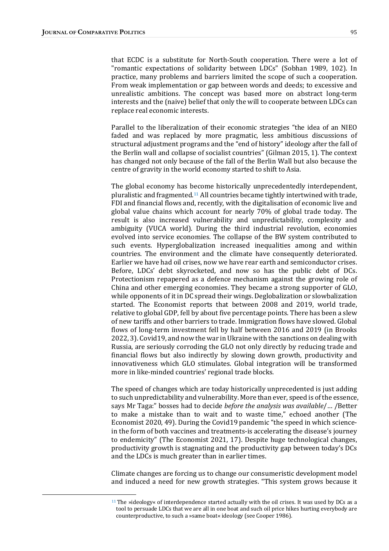that ECDC is a substitute for North-South cooperation. There were a lot of "romantic expectations of solidarity between LDCs" (Sobhan 1989, 102). In practice, many problems and barriers limited the scope of such a cooperation. From weak implementation or gap between words and deeds; to excessive and unrealistic ambitions. The concept was based more on abstract long-term interests and the (naive) belief that only the will to cooperate between LDCs can replace real economic interests.

Parallel to the liberalization of their economic strategies "the idea of an NIEO faded and was replaced by more pragmatic, less ambitious discussions of structural adjustment programs and the "end of history" ideology after the fall of the Berlin wall and collapse of socialist countries" (Gilman 2015, 1). The context has changed not only because of the fall of the Berlin Wall but also because the centre of gravity in the world economy started to shift to Asia.

The global economy has become historically unprecedentedly interdependent, pluralistic and fragmented.<sup>11</sup> All countries became tightly intertwined with trade, FDI and financial flows and, recently, with the digitalisation of economic live and global value chains which account for nearly 70% of global trade today. The result is also increased vulnerability and unpredictability, complexity and ambiguity (VUCA world). During the third industrial revolution, economies evolved into service economies. The collapse of the BW system contributed to such events. Hyperglobalization increased inequalities among and within countries. The environment and the climate have consequently deteriorated. Earlier we have had oil crises, now we have rear earth and semiconductor crises. Before, LDCs' debt skyrocketed, and now so has the public debt of DCs. Protectionism repapered as a defence mechanism against the growing role of China and other emerging economies. They became a strong supporter of GLO, while opponents of it in DC spread their wings. Deglobalization or slowbalization started. The Economist reports that between 2008 and 2019, world trade, relative to global GDP, fell by about five percentage points. There has been a slew of new tariffs and other barriers to trade. Immigration flows have slowed. Global flows of long-term investment fell by half between 2016 and 2019 (in Brooks 2022, 3). Covid19, and now the war in Ukraine with the sanctions on dealing with Russia, are seriously corroding the GLO not only directly by reducing trade and financial flows but also indirectly by slowing down growth, productivity and innovativeness which GLO stimulates. Global integration will be transformed more in like-minded countries' regional trade blocks.

The speed of changes which are today historically unprecedented is just adding to such unpredictability and vulnerability. More than ever, speed is of the essence, says Mr Taga:" bosses had to decide before the analysis was available/... /Better to make a mistake than to wait and to waste time," echoed another (The Economist 2020, 49). During the Covid19 pandemic "the speed in which sciencein the form of both vaccines and treatments-is accelerating the disease's journey to endemicity" (The Economist 2021, 17). Despite huge technological changes, productivity growth is stagnating and the productivity gap between today's DCs and the LDCs is much greater than in earlier times.

Climate changes are forcing us to change our consumeristic development model and induced a need for new growth strategies. "This system grows because it

<sup>&</sup>lt;sup>11</sup> The »ideology« of interdependence started actually with the oil crises. It was used by DCs as a tool to persuade LDCs that we are all in one boat and such oil price hikes hurting everybody are counterproductive, to such a »same boat« ideology (see Cooper 1986).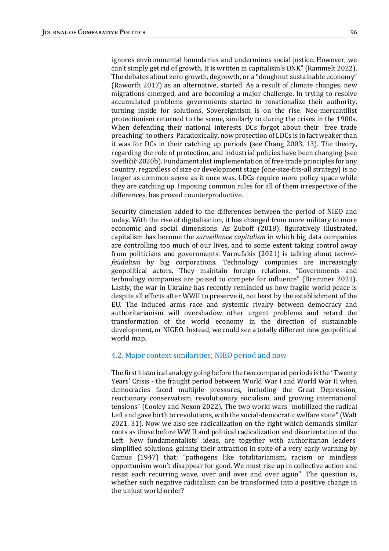ignores environmental boundaries and undermines social justice. However, we can't simply get rid of growth. It is written in capitalism's DNK" (Rammelt 2022). The debates about zero growth, degrowth, or a "doughnut sustainable economy" (Raworth 2017) as an alternative, started. As a result of climate changes, new migrations emerged, and are becoming a major challenge. In trying to resolve accumulated problems governments started to renationalize their authority, turning inside for solutions. Sovereigntism is on the rise. Neo-mercantilist protectionism returned to the scene, similarly to during the crises in the 1980s. When defending their national interests DCs forgot about their "free trade preaching" to others. Paradoxically, now protection of LDCs is in fact weaker than it was for DCs in their catching up periods (see Chang 2003, 13). The theory, regarding the role of protection, and industrial policies have been changing (see Svetličič 2020b). Fundamentalist implementation of free trade principles for any country, regardless of size or development stage (one-size-fits-all strategy) is no longer as common sense as it once was. LDCs require more policy space while they are catching up. Imposing common rules for all of them irrespective of the differences, has proved counterproductive.

Security dimension added to the differences between the period of NIEO and today. With the rise of digitalisation, it has changed from more military to more economic and social dimensions. As Zuboff (2018), figuratively illustrated, capitalism has become the *surveillance capitalism* in which big data companies are controlling too much of our lives, and to some extent taking control away from politicians and governments. Varoufakis (2021) is talking about technofeudalism by big corporations. Technology companies are increasingly geopolitical actors. They maintain foreign relations. "Governments and technology companies are poised to compete for influence" (Bremmer 2021). Lastly, the war in Ukraine has recently reminded us how fragile world peace is despite all efforts after WWII to preserve it, not least by the establishment of the EU. The induced arms race and systemic rivalry between democracy and authoritarianism will overshadow other urgent problems and retard the transformation of the world economy in the direction of sustainable development, or NIGEO. Instead, we could see a totally different new geopolitical world map.

#### 4.2. Major context similarities; NIEO period and now

The first historical analogy going before the two compared periods is the "Twenty Years' Crisis - the fraught period between World War I and World War II when democracies faced multiple pressures, including the Great Depression, reactionary conservatism, revolutionary socialism, and growing international tensions" (Cooley and Nexon 2022). The two world wars "mobilized the radical Left and gave birth to revolutions, with the social-democratic welfare state" (Walt 2021, 31). Now we also see radicalization on the right which demands similar roots as those before WW II and political radicalization and disorientation of the Left. New fundamentalists' ideas, are together with authoritarian leaders' simplified solutions, gaining their attraction in spite of a very early warning by Camus (1947) that; "pathogens like totalitarianism, racism or mindless opportunism won't disappear for good. We must rise up in collective action and resist each recurring wave, over and over and over again". The question is, whether such negative radicalism can be transformed into a positive change in the unjust world order?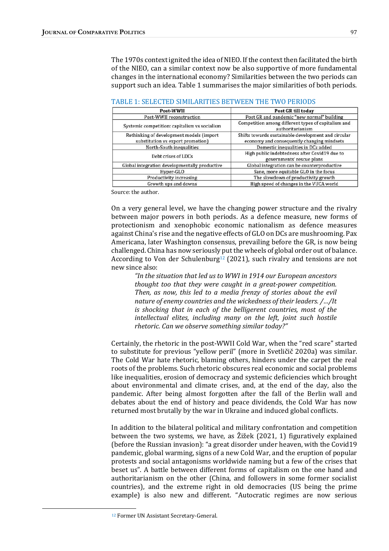The 1970s context ignited the idea of NIEO. If the context then facilitated the birth of the NIEO, can a similar context now be also supportive of more fundamental changes in the international economy? Similarities between the two periods can support such an idea. Table 1 summarises the major similarities of both periods.

| Post-WWII                                                                     | Post GR till today                                                                                |  |
|-------------------------------------------------------------------------------|---------------------------------------------------------------------------------------------------|--|
| Post-WWII reconstruction                                                      | Post GR and pandemic "new normal" building                                                        |  |
| Systemic competition: capitalism vs socialism                                 | Competition among different types of capitalism and<br>authoritarianism                           |  |
| Rethinking of development models (import<br>substitution vs export promotion) | Shifts towards sustainable development and circular<br>economy and consequently changing mindsets |  |
| North-South inequalities                                                      | Domestic inequalities in DCs added                                                                |  |
| Debt crises of LDCs                                                           | High public indebtedness after Covid19 due to<br>governments' rescue plans                        |  |
| Global integration developmentally productive                                 | Global integration can be counterproductive                                                       |  |
| Sane, more equitable GLO in the focus<br>Hyper-GLO                            |                                                                                                   |  |
| Productivity increasing                                                       | The slowdown of productivity growth                                                               |  |
| Growth ups and downs                                                          | High speed of changes in the VUCA world                                                           |  |

| TABLE 1: SELECTED SIMILARITIES BETWEEN THE TWO PERIODS |  |  |  |
|--------------------------------------------------------|--|--|--|
|--------------------------------------------------------|--|--|--|

Source: the author.

On a very general level, we have the changing power structure and the rivalry between major powers in both periods. As a defence measure, new forms of protectionism and xenophobic economic nationalism as defence measures against China's rise and the negative effects of GLO on DCs are mushrooming. Pax Americana, later Washington consensus, prevailing before the GR, is now being challenged. China has now seriously put the wheels of global order out of balance. According to Von der Schulenburg<sup>12</sup> (2021), such rivalry and tensions are not new since also:

"In the situation that led us to WWI in 1914 our European ancestors thought too that they were caught in a great-power competition. Then, as now, this led to a media frenzy of stories about the evil nature of enemy countries and the wickedness of their leaders. /.../It is shocking that in each of the belligerent countries, most of the intellectual elites, including many on the left, joint such hostile rhetoric. Can we observe something similar today?"

Certainly, the rhetoric in the post-WWII Cold War, when the "red scare" started to substitute for previous "yellow peril" (more in Svetličič 2020a) was similar. The Cold War hate rhetoric, blaming others, hinders under the carpet the real roots of the problems. Such rhetoric obscures real economic and social problems like inequalities, erosion of democracy and systemic deficiencies which brought about environmental and climate crises, and, at the end of the day, also the pandemic. After being almost forgotten after the fall of the Berlin wall and debates about the end of history and peace dividends, the Cold War has now returned most brutally by the war in Ukraine and induced global conflicts.

In addition to the bilateral political and military confrontation and competition between the two systems, we have, as  $\check{Z}$ ižek (2021, 1) figuratively explained (before the Russian invasion): "a great disorder under heaven, with the Covid19 pandemic, global warming, signs of a new Cold War, and the eruption of popular protests and social antagonisms worldwide naming but a few of the crises that beset us". A battle between different forms of capitalism on the one hand and authoritarianism on the other (China, and followers in some former socialist countries), and the extreme right in old democracies (US being the prime example) is also new and different. "Autocratic regimes are now serious

<sup>&</sup>lt;sup>12</sup> Former UN Assistant Secretary-General.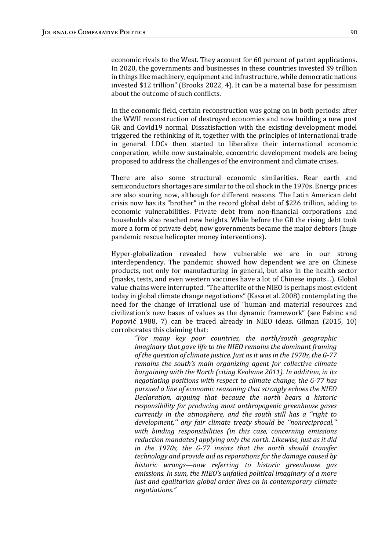economic rivals to the West. They account for 60 percent of patent applications. In 2020, the governments and businesses in these countries invested \$9 trillion in things like machinery, equipment and infrastructure, while democratic nations invested  $$12$  trillion" (Brooks 2022, 4). It can be a material base for pessimism about the outcome of such conflicts.

In the economic field, certain reconstruction was going on in both periods: after the WWII reconstruction of destroyed economies and now building a new post GR and Covid19 normal. Dissatisfaction with the existing development model triggered the rethinking of it, together with the principles of international trade in general. LDCs then started to liberalize their international economic cooperation, while now sustainable, ecocentric development models are being proposed to address the challenges of the environment and climate crises.

There are also some structural economic similarities. Rear earth and semiconductors shortages are similar to the oil shock in the 1970s. Energy prices are also souring now, although for different reasons. The Latin American debt crisis now has its "brother" in the record global debt of \$226 trillion, adding to economic vulnerabilities. Private debt from non-financial corporations and households also reached new heights. While before the GR the rising debt took more a form of private debt, now governments became the major debtors (huge pandemic rescue helicopter money interventions).

Hyper-globalization revealed how vulnerable we are in our strong interdependency. The pandemic showed how dependent we are on Chinese products, not only for manufacturing in general, but also in the health sector (masks, tests, and even western vaccines have a lot of Chinese inputs...). Global value chains were interrupted. "The afterlife of the NIEO is perhaps most evident today in global climate change negotiations" (Kasa et al. 2008) contemplating the need for the change of irrational use of "human and material resources and civilization's new bases of values as the dynamic framework" (see Fabinc and Popović 1988, 7) can be traced already in NIEO ideas. Gilman (2015, 10) corroborates this claiming that:

"For many key poor countries, the north/south geographic imaginary that gave life to the NIEO remains the dominant framing of the question of climate justice. Just as it was in the 1970s, the G-77 remains the south's main organizing agent for collective climate bargaining with the North (citing Keohane 2011). In addition, in its negotiating positions with respect to climate change, the G-77 has pursued a line of economic reasoning that strongly echoes the NIEO Declaration, arguing that because the north bears a historic responsibility for producing most anthropogenic greenhouse gases currently in the atmosphere, and the south still has a "right to development," any fair climate treaty should be "nonreciprocal," with binding responsibilities (in this case, concerning emissions reduction mandates) applying only the north. Likewise, just as it did in the  $1970s$ , the G-77 insists that the north should transfer technology and provide aid as reparations for the damage caused by historic wrongs—now referring to historic greenhouse gas emissions. In sum, the NIEO's unfailed political imaginary of a more just and egalitarian global order lives on in contemporary climate negotiations."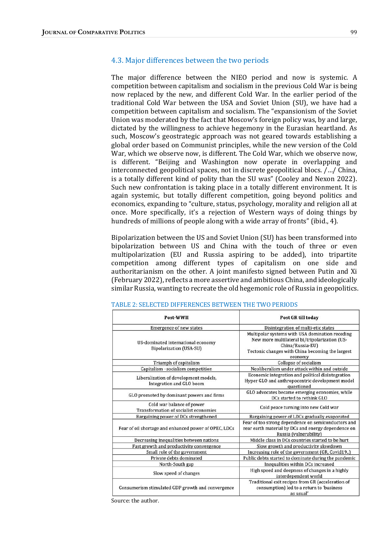### 4.3. Major differences between the two periods

The major difference between the NIEO period and now is systemic. A competition between capitalism and socialism in the previous Cold War is being now replaced by the new, and different Cold War. In the earlier period of the traditional Cold War between the USA and Soviet Union (SU), we have had a competition between capitalism and socialism. The "expansionism of the Soviet Union was moderated by the fact that Moscow's foreign policy was, by and large, dictated by the willingness to achieve hegemony in the Eurasian heartland. As such, Moscow's geostrategic approach was not geared towards establishing a global order based on Communist principles, while the new version of the Cold War, which we observe now, is different. The Cold War, which we observe now, is different. "Beijing and Washington now operate in overlapping and interconnected geopolitical spaces, not in discrete geopolitical blocs.  $/$ .../ China, is a totally different kind of polity than the SU was" (Cooley and Nexon 2022). Such new confrontation is taking place in a totally different environment. It is again systemic, but totally different competition, going beyond politics and economics, expanding to "culture, status, psychology, morality and religion all at once. More specifically, it's a rejection of Western ways of doing things by hundreds of millions of people along with a wide array of fronts" (ibid., 4).

Bipolarization between the US and Soviet Union (SU) has been transformed into bipolarization between US and China with the touch of three or even multipolarization (EU and Russia aspiring to be added), into tripartite competition among different types of capitalism on one side and authoritarianism on the other. A joint manifesto signed between Putin and Xi (February 2022), reflects a more assertive and ambitious China, and ideologically similar Russia, wanting to recreate the old hegemonic role of Russia in geopolitics.

| Post-WWII                                                            | Post GR till today                                                                                                                                                                  |  |
|----------------------------------------------------------------------|-------------------------------------------------------------------------------------------------------------------------------------------------------------------------------------|--|
| <b>Emergence of new states</b>                                       | Disintegration of multi-etic states                                                                                                                                                 |  |
| US-dominated international economy<br><b>Bipolarization (USA-SU)</b> | Multipolar systems with USA domination receding<br>New more multilateral bi/tripolarization (US-<br>China/Russia-EU)<br>Tectonic changes with China becoming the largest<br>economy |  |
| Triumph of capitalism                                                | Collapse of socialism                                                                                                                                                               |  |
| Capitalism -socialism competition                                    | Neoliberalism under attack within and outside                                                                                                                                       |  |
| Liberalization of development models,<br>Integration and GLO boom    | Economic integration and political disintegration<br>Hyper GLO and anthropocentric development model<br>questioned                                                                  |  |
| GLO promoted by dominant powers and firms                            | GLO advocates became emerging economies, while<br>DCs started to rethink GLO                                                                                                        |  |
| Cold war balance of power<br>Transformation of socialist economies   | Cold peace turning into new Cold war                                                                                                                                                |  |
| Bargaining power of DCs strengthened                                 | Bargaining power of LDCs gradually evaporated                                                                                                                                       |  |
| Fear of oil shortage and enhanced power of OPEC, LDCs                | Fear of too strong dependence on semiconductors and<br>rear earth material by DCs and energy dependence on<br>Russia (vulnerability)                                                |  |
| Decreasing inequalities between nations                              | Middle class in DCs countries started to be hurt                                                                                                                                    |  |
| Fast growth and productivity convergence                             | Slow growth and productivity slowdown                                                                                                                                               |  |
| Small role of the government                                         | Increasing role of the government (GR, Covid19)                                                                                                                                     |  |
| Private debts dominated                                              | Public debts started to dominate during the pandemic                                                                                                                                |  |
| North-South gap                                                      | Inequalities within DCs increased                                                                                                                                                   |  |
| Slow speed of changes                                                | High speed and deepness of changes in a highly<br>interdependent world                                                                                                              |  |
| Consumerism stimulated GDP growth and convergence                    | Traditional exit recipes from GR (acceleration of<br>consumption) led to a return to 'business<br>as usual'                                                                         |  |

#### TABLE 2: SELECTED DIFFERENCES BETWEEN THE TWO PERIODS

Source: the author.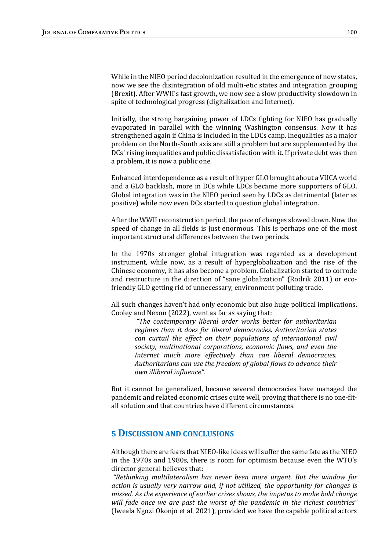While in the NIEO period decolonization resulted in the emergence of new states, now we see the disintegration of old multi-etic states and integration grouping (Brexit). After WWII's fast growth, we now see a slow productivity slowdown in spite of technological progress (digitalization and Internet).

Initially, the strong bargaining power of LDCs fighting for NIEO has gradually evaporated in parallel with the winning Washington consensus. Now it has strengthened again if China is included in the LDCs camp. Inequalities as a major problem on the North-South axis are still a problem but are supplemented by the DCs' rising inequalities and public dissatisfaction with it. If private debt was then a problem, it is now a public one.

Enhanced interdependence as a result of hyper GLO brought about a VUCA world and a GLO backlash, more in DCs while LDCs became more supporters of GLO. Global integration was in the NIEO period seen by LDCs as detrimental (later as positive) while now even DCs started to question global integration.

After the WWII reconstruction period, the pace of changes slowed down. Now the speed of change in all fields is just enormous. This is perhaps one of the most important structural differences between the two periods.

In the 1970s stronger global integration was regarded as a development instrument, while now, as a result of hyperglobalization and the rise of the Chinese economy, it has also become a problem. Globalization started to corrode and restructure in the direction of "sane globalization" (Rodrik 2011) or ecofriendly GLO getting rid of unnecessary, environment polluting trade.

All such changes haven't had only economic but also huge political implications. Cooley and Nexon (2022), went as far as saying that:

"The contemporary liberal order works better for authoritarian regimes than it does for liberal democracies. Authoritarian states can curtail the effect on their populations of international civil society, multinational corporations, economic flows, and even the Internet much more effectively than can liberal democracies. Authoritarians can use the freedom of global flows to advance their own illiberal influence".

But it cannot be generalized, because several democracies have managed the pandemic and related economic crises quite well, proving that there is no one-fitall solution and that countries have different circumstances.

# 5 DISCUSSION AND CONCLUSIONS

Although there are fears that NIEO-like ideas will suffer the same fate as the NIEO in the 1970s and 1980s, there is room for optimism because even the WTO's director general believes that:

"Rethinking multilateralism has never been more urgent. But the window for action is usually very narrow and, if not utilized, the opportunity for changes is missed. As the experience of earlier crises shows, the impetus to make bold change will fade once we are past the worst of the pandemic in the richest countries" (Iweala Ngozi Okonjo et al. 2021), provided we have the capable political actors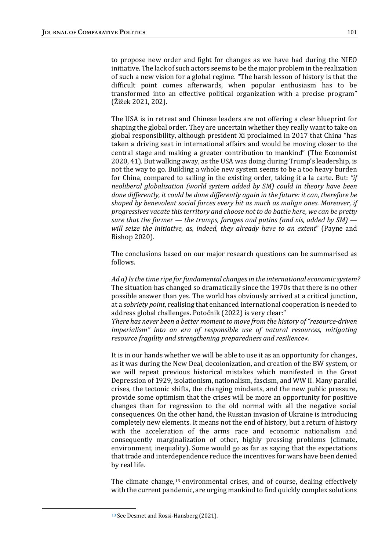to propose new order and fight for changes as we have had during the NIEO initiative. The lack of such actors seems to be the major problem in the realization of such a new vision for a global regime. "The harsh lesson of history is that the difficult point comes afterwards, when popular enthusiasm has to be transformed into an effective political organization with a precise program" (Žižek 2021, 202). 

The USA is in retreat and Chinese leaders are not offering a clear blueprint for shaping the global order. They are uncertain whether they really want to take on global responsibility, although president Xi proclaimed in 2017 that China "has taken a driving seat in international affairs and would be moving closer to the central stage and making a greater contribution to mankind" (The Economist 2020, 41). But walking away, as the USA was doing during Trump's leadership, is not the way to go. Building a whole new system seems to be a too heavy burden for China, compared to sailing in the existing order, taking it a la carte. But: "if neoliberal globalisation (world system added by SM) could in theory have been done differently, it could be done differently again in the future: it can, therefore be shaped by benevolent social forces every bit as much as malign ones. Moreover, if progressives vacate this territory and choose not to do battle here, we can be pretty sure that the former  $-$  the trumps, farages and putins (and xis, added by SM)  $$ will seize the initiative, as, indeed, they already have to an extent" (Payne and Bishop 2020). 

The conclusions based on our major research questions can be summarised as follows.

Ad a) Is the time ripe for fundamental changes in the international economic system? The situation has changed so dramatically since the 1970s that there is no other possible answer than yes. The world has obviously arrived at a critical junction, at a *sobriety point*, realising that enhanced international cooperation is needed to address global challenges. Potočnik (2022) is very clear:"

There has never been a better moment to move from the history of "resource-driven" imperialism" into an era of responsible use of natural resources, mitigating resource fragility and strengthening preparedness and resilience«.

It is in our hands whether we will be able to use it as an opportunity for changes, as it was during the New Deal, decolonization, and creation of the BW system, or we will repeat previous historical mistakes which manifested in the Great Depression of 1929, isolationism, nationalism, fascism, and WW II. Many parallel crises, the tectonic shifts, the changing mindsets, and the new public pressure, provide some optimism that the crises will be more an opportunity for positive changes than for regression to the old normal with all the negative social consequences. On the other hand, the Russian invasion of Ukraine is introducing completely new elements. It means not the end of history, but a return of history with the acceleration of the arms race and economic nationalism and consequently marginalization of other, highly pressing problems (climate, environment, inequality). Some would go as far as saying that the expectations that trade and interdependence reduce the incentives for wars have been denied by real life.

The climate change,  $13$  environmental crises, and of course, dealing effectively with the current pandemic, are urging mankind to find quickly complex solutions

<sup>&</sup>lt;sup>13</sup> See Desmet and Rossi-Hansberg (2021).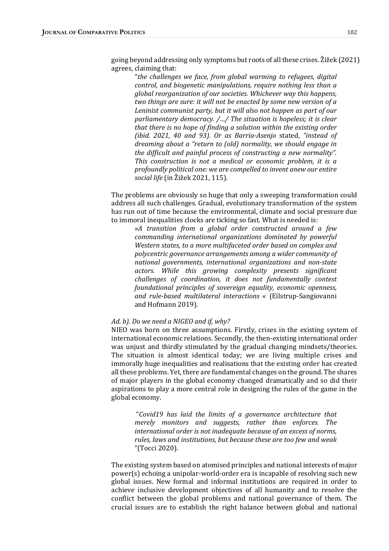going beyond addressing only symptoms but roots of all these crises. Žižek (2021) agrees, claiming that:

"the challenges we face, from global warming to refugees, digital control, and biogenetic manipulations, require nothing less than a global reorganization of our societies. Whichever way this happens, two things are sure: it will not be enacted by some new version of a Leninist communist party, but it will also not happen as part of our parliamentary democracy.  $/$ ... $/$  The situation is hopeless; it is clear that there is no hope of finding a solution within the existing order (ibid.  $2021$ , 40 and 93). Or as Barria-Asenjo stated, "instead of dreaming about a "return to (old) normality, we should engage in the difficult and painful process of constructing a new normality". This construction is not a medical or economic problem, it is a profoundly political one: we are compelled to invent anew our entire social life (in Žižek 2021, 115).

The problems are obviously so huge that only a sweeping transformation could address all such challenges. Gradual, evolutionary transformation of the system has run out of time because the environmental, climate and social pressure due to immoral inequalities clocks are ticking so fast. What is needed is:

»A transition from a global order constructed around a few commanding international organizations dominated by powerful Western states, to a more multifaceted order based on complex and polycentric governance arrangements among a wider community of national governments, international organizations and non-state actors. While this growing complexity presents significant challenges of coordination, it does not fundamentally contest foundational principles of sovereign equality, economic openness, and rule-based multilateral interactions « (Eilstrup-Sangiovanni and Hofmann 2019).

### Ad. b). Do we need a NIGEO and if, why?

NIEO was born on three assumptions. Firstly, crises in the existing system of international economic relations. Secondly, the then-existing international order was unjust and thirdly stimulated by the gradual changing mindsets/theories. The situation is almost identical today; we are living multiple crises and immorally huge inequalities and realisations that the existing order has created all these problems. Yet, there are fundamental changes on the ground. The shares of major players in the global economy changed dramatically and so did their aspirations to play a more central role in designing the rules of the game in the global economy.

"Covid19 has laid the limits of a governance architecture that merely monitors and suggests, rather than enforces. The international order is not inadequate because of an excess of norms, rules, laws and institutions, but because these are too few and weak "(Tocci 2020). 

The existing system based on atomised principles and national interests of major  $power(s)$  echoing a unipolar-world-order era is incapable of resolving such new global issues. New formal and informal institutions are required in order to achieve inclusive development objectives of all humanity and to resolve the conflict between the global problems and national governance of them. The crucial issues are to establish the right balance between global and national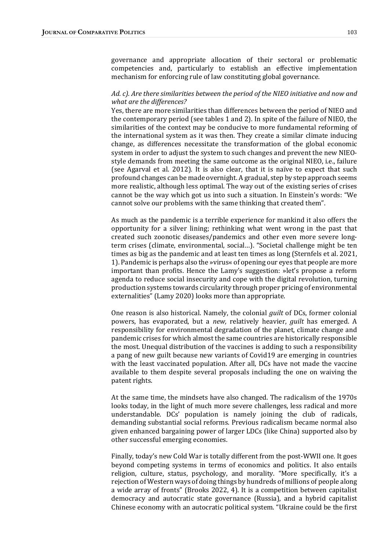governance and appropriate allocation of their sectoral or problematic competencies and, particularly to establish an effective implementation mechanism for enforcing rule of law constituting global governance.

## Ad. c). Are there similarities between the period of the NIEO initiative and now and what are the differences?

Yes, there are more similarities than differences between the period of NIEO and the contemporary period (see tables 1 and 2). In spite of the failure of NIEO, the similarities of the context may be conducive to more fundamental reforming of the international system as it was then. They create a similar climate inducing change, as differences necessitate the transformation of the global economic system in order to adjust the system to such changes and prevent the new NIEOstyle demands from meeting the same outcome as the original NIEO, i.e., failure (see Agarval et al. 2012). It is also clear, that it is naïve to expect that such profound changes can be made overnight. A gradual, step by step approach seems more realistic, although less optimal. The way out of the existing series of crises cannot be the way which got us into such a situation. In Einstein's words: "We cannot solve our problems with the same thinking that created them".

As much as the pandemic is a terrible experience for mankind it also offers the opportunity for a silver lining; rethinking what went wrong in the past that created such zoonotic diseases/pandemics and other even more severe longterm crises (climate, environmental, social...). "Societal challenge might be ten times as big as the pandemic and at least ten times as long (Sternfels et al. 2021, 1). Pandemic is perhaps also the *wirus* of opening our eyes that people are more important than profits. Hence the Lamy's suggestion: »let's propose a reform agenda to reduce social insecurity and cope with the digital revolution, turning production systems towards circularity through proper pricing of environmental externalities" (Lamy 2020) looks more than appropriate.

One reason is also historical. Namely, the colonial *guilt* of DCs, former colonial powers, has evaporated, but a *new*, relatively heavier, *guilt* has emerged. A responsibility for environmental degradation of the planet, climate change and pandemic crises for which almost the same countries are historically responsible the most. Unequal distribution of the vaccines is adding to such a responsibility a pang of new guilt because new variants of Covid19 are emerging in countries with the least vaccinated population. After all, DCs have not made the vaccine available to them despite several proposals including the one on waiving the patent rights.

At the same time, the mindsets have also changed. The radicalism of the 1970s looks today, in the light of much more severe challenges, less radical and more understandable. DCs' population is namely joining the club of radicals, demanding substantial social reforms. Previous radicalism became normal also given enhanced bargaining power of larger LDCs (like China) supported also by other successful emerging economies.

Finally, today's new Cold War is totally different from the post-WWII one. It goes beyond competing systems in terms of economics and politics. It also entails religion, culture, status, psychology, and morality. "More specifically, it's a rejection of Western ways of doing things by hundreds of millions of people along a wide array of fronts" (Brooks 2022, 4). It is a competition between capitalist democracy and autocratic state governance (Russia), and a hybrid capitalist Chinese economy with an autocratic political system. "Ukraine could be the first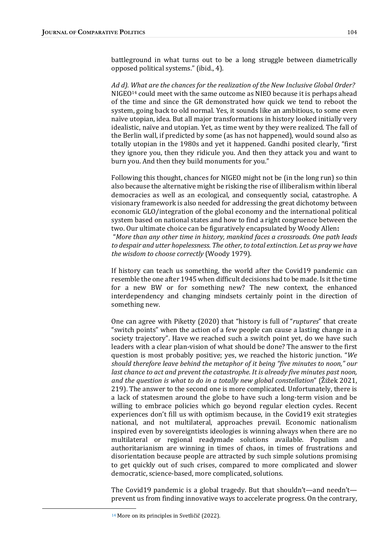battleground in what turns out to be a long struggle between diametrically opposed political systems." (ibid., 4).

Ad d). What are the chances for the realization of the New Inclusive Global Order?  $NIGEO<sup>14</sup>$  could meet with the same outcome as NIEO because it is perhaps ahead of the time and since the GR demonstrated how quick we tend to reboot the system, going back to old normal. Yes, it sounds like an ambitious, to some even naïve utopian, idea. But all major transformations in history looked initially very idealistic, naïve and utopian. Yet, as time went by they were realized. The fall of the Berlin wall, if predicted by some (as has not happened), would sound also as totally utopian in the 1980s and yet it happened. Gandhi posited clearly, "first they ignore you, then they ridicule you. And then they attack you and want to burn you. And then they build monuments for you."

Following this thought, chances for NIGEO might not be (in the long run) so thin also because the alternative might be risking the rise of illiberalism within liberal democracies as well as an ecological, and consequently social, catastrophe. A visionary framework is also needed for addressing the great dichotomy between economic GLO/integration of the global economy and the international political system based on national states and how to find a right congruence between the two. Our ultimate choice can be figuratively encapsulated by Woody Allen: "More than any other time in history, mankind faces a crossroads. One path leads to despair and utter hopelessness. The other, to total extinction. Let us pray we have the wisdom to choose correctly (Woody 1979).

If history can teach us something, the world after the Covid19 pandemic can resemble the one after 1945 when difficult decisions had to be made. Is it the time for a new BW or for something new? The new context, the enhanced interdependency and changing mindsets certainly point in the direction of something new.

One can agree with Piketty (2020) that "history is full of "ruptures" that create "switch points" when the action of a few people can cause a lasting change in a society trajectory". Have we reached such a switch point yet, do we have such leaders with a clear plan-vision of what should be done? The answer to the first question is most probably positive; yes, we reached the historic junction. "We should therefore leave behind the metaphor of it being "five minutes to noon," our last chance to act and prevent the catastrophe. It is already five minutes past noon, and the question is what to do in a totally new global constellation" ( $\tilde{Z}$ ižek 2021, 219). The answer to the second one is more complicated. Unfortunately, there is a lack of statesmen around the globe to have such a long-term vision and be willing to embrace policies which go beyond regular election cycles. Recent experiences don't fill us with optimism because, in the Covid19 exit strategies national, and not multilateral, approaches prevail. Economic nationalism inspired even by sovereigntists ideologies is winning always when there are no multilateral or regional readymade solutions available. Populism and authoritarianism are winning in times of chaos, in times of frustrations and disorientation because people are attracted by such simple solutions promising to get quickly out of such crises, compared to more complicated and slower democratic, science-based, more complicated, solutions.

The Covid19 pandemic is a global tragedy. But that shouldn't—and needn't prevent us from finding innovative ways to accelerate progress. On the contrary,

<sup>&</sup>lt;sup>14</sup> More on its principles in Svetličič (2022).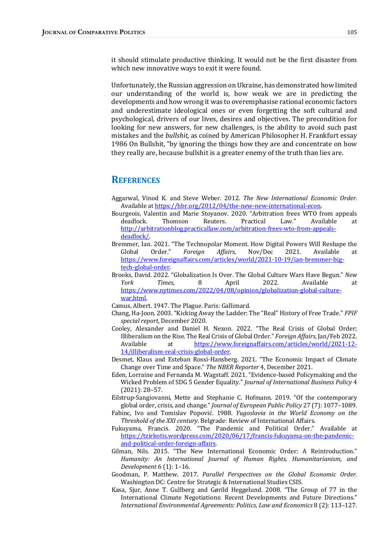it should stimulate productive thinking. It would not be the first disaster from which new innovative ways to exit it were found.

Unfortunately, the Russian aggression on Ukraine, has demonstrated how limited our understanding of the world is, how weak we are in predicting the developments and how wrong it was to overemphasise rational economic factors and underestimate ideological ones or even forgetting the soft cultural and psychological, drivers of our lives, desires and objectives. The precondition for looking for new answers, for new challenges, is the ability to avoid such past mistakes and the *bullshit*, as coined by American Philosopher H. Frankfurt essay 1986 On Bullshit, "by ignoring the things how they are and concentrate on how they really are, because bullshit is a greater enemy of the truth than lies are.

## **REFERENCES**

- Aggarwal, Vinod K. and Steve Weber. 2012. The New International Economic Order. Available at https://hbr.org/2012/04/the-new-new-international-econ.
- Bourgeois, Valentin and Marie Stoyanov. 2020. "Arbitration frees WTO from appeals deadlock. Thomson Reuters. Practical Law." Available at http://arbitrationblog.practicallaw.com/arbitration-frees-wto-from-appealsdeadlock/.
- Bremmer, Ian. 2021. "The Technopolar Moment. How Digital Powers Will Reshape the Global Order." Foreign Affairs, Nov/Dec 2021. Available at https://www.foreignaffairs.com/articles/world/2021-10-19/ian-bremmer-bigtech-global-order.
- Brooks, David. 2022. "Globalization Is Over. The Global Culture Wars Have Begun." New York Times, 8 April 2022. Available at https://www.nytimes.com/2022/04/08/opinion/globalization-global-culturewar.html.
- Camus, Albert. 1947. The Plague. Paris: Gallimard.
- Chang, Ha-Joon. 2003. "Kicking Away the Ladder: The "Real" History of Free Trade." FPIF special report, December 2020.
- Cooley, Alexander and Daniel H. Nexon. 2022. "The Real Crisis of Global Order: Illiberalism on the Rise. The Real Crisis of Global Order." Foreign Affairs, Jan/Feb 2022. Available at <u>https://www.foreignaffairs.com/articles/world/2021-12-</u> 14/illiberalism-real-crisis-global-order.
- Desmet, Klaus and Esteban Rossi-Hansberg. 2021. "The Economic Impact of Climate Change over Time and Space." The NBER Reporter 4, December 2021.
- Eden, Lorraine and Fernanda M. Wagstaff. 2021. "Evidence-based Policymaking and the Wicked Problem of SDG 5 Gender Equality." Journal of International Business Policy 4  $(2021): 28-57.$
- Eilstrup-Sangiovanni, Mette and Stephanie C. Hofmann. 2019. "Of the contemporary global order, crisis, and change." *Journal of European Public Policy*  $27$  (7):  $1077-1089$ .
- Fabinc, Ivo and Tomislav Popović. 1988. Yugoslavia in the World Economy on the Threshold of the XXI century. Belgrade: Review of International Affairs.
- Fukuyama, Francis. 2020. "The Pandemic and Political Order." Available at https://tzirkotis.wordpress.com/2020/06/17/francis-fukuyama-on-the-pandemicand-political-order-foreign-affairs.
- Gilman, Nils. 2015. "The New International Economic Order: A Reintroduction." Humanity: An International Journal of Human Rights, Humanitarianism, and Development  $6(1)$ : 1-16.
- Goodman, P. Matthew. 2017. Parallel Perspectives on the Global Economic Order. Washington DC: Centre for Strategic & International Studies CSIS.
- Kasa, Sjur, Anne T. Gullberg and Gørild Heggelund. 2008. "The Group of 77 in the International Climate Negotiations: Recent Developments and Future Directions." International Environmental Agreements: Politics, Law and Economics 8 (2): 113-127.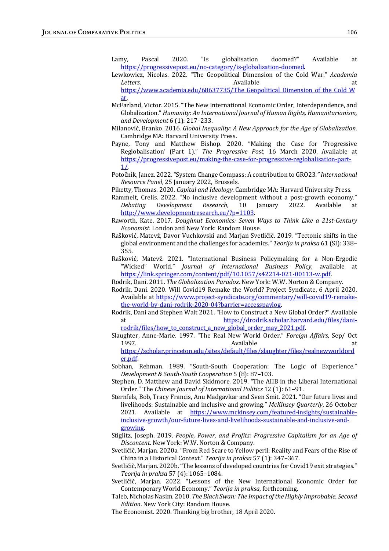- Lamy, Pascal 2020. "Is globalisation doomed?" Available at https://progressivepost.eu/no-category/is-globalisation-doomed.
- Lewkowicz, Nicolas. 2022. "The Geopolitical Dimension of the Cold War." Academia Letters. The contract of the contract at a contract at a contract at a contract at a contract at a contract at  $\alpha$ https://www.academia.edu/68637735/The Geopolitical Dimension of the Cold W
- ar. McFarland, Victor. 2015. "The New International Economic Order, Interdependence, and Globalization." Humanity: An International Journal of Human Rights, Humanitarianism, and Development  $6(1)$ : 217-233.
- Milanović, Branko. 2016. Global Inequality: A New Approach for the Age of Globalization. Cambridge MA: Harvard University Press.
- Payne, Tony and Matthew Bishop. 2020. "Making the Case for 'Progressive Reglobalisation' (Part 1)." The Progressive Post, 16 March 2020. Available at https://progressivepost.eu/making-the-case-for-progressive-reglobalisation-part-1/.
- Potočnik, Janez. 2022. "System Change Compass; A contribution to GRO23." International Resource Panel, 25 January 2022, Brussels.

Piketty, Thomas. 2020. Capital and Ideology. Cambridge MA: Harvard University Press.

- Rammelt, Crelis. 2022. "No inclusive development without a post-growth economy." Debating Development Research, 10 January 2022. Available at http://www.developmentresearch.eu/?p=1103.
- Raworth, Kate. 2017. Doughnut Economics: Seven Ways to Think Like a 21st-Century Economist. London and New York: Random House.
- Rašković, Matevž, Davor Vuchkovski and Marjan Svetličič. 2019. "Tectonic shifts in the global environment and the challenges for academics." Teorija in praksa 61 (SI): 338– 355.
- Rašković, Matevž. 2021. "International Business Policymaking for a Non-Ergodic "Wicked" World." Journal of International Business Policy, available at https://link.springer.com/content/pdf/10.1057/s42214-021-00113-w.pdf.

Rodrik, Dani. 2011. The Globalization Paradox. New York: W.W. Norton & Company.

- Rodrik, Dani. 2020. Will Covid19 Remake the World? Project Syndicate, 6 April 2020. Available at https://www.project-syndicate.org/commentary/will-covid19-remakethe-world-by-dani-rodrik-2020-04?barrier=accesspaylog.
- Rodrik, Dani and Stephen Walt 2021. "How to Construct a New Global Order?" Available at https://drodrik.scholar.harvard.edu/files/danirodrik/files/how to construct a new global order may 2021.pdf.
- Slaughter, Anne-Marie. 1997. "The Real New World Order." *Foreign Affairs*, Sep/ Oct 1997. Available at

https://scholar.princeton.edu/sites/default/files/slaughter/files/realnewworldord er.pdf. 

- Sobhan, Rehman. 1989. "South-South Cooperation: The Logic of Experience." Development & South-South Cooperation 5 (8): 87-103.
- Stephen, D. Matthew and David Skidmore. 2019. "The AIIB in the Liberal International Order." The Chinese Journal of International Politics 12 (1): 61-91.
- Sternfels, Bob, Tracy Francis, Anu Madgavkar and Sven Smit. 2021. "Our future lives and livelihoods: Sustainable and inclusive and growing." McKinsey Quarterly, 26 October 2021. Available at https://www.mckinsey.com/featured-insights/sustainableinclusive-growth/our-future-lives-and-livelihoods-sustainable-and-inclusive-andgrowing.
- Stiglitz, Joseph. 2019. People, Power, and Profits: Progressive Capitalism for an Age of Discontent. New York: W.W. Norton & Company.
- Svetličič, Marjan. 2020a. "From Red Scare to Yellow peril: Reality and Fears of the Rise of China in a Historical Context." Teorija in praksa 57 (1): 347-367.
- Svetličič, Marjan. 2020b. "The lessons of developed countries for Covid19 exit strategies." Teorija in praksa 57 (4): 1065-1084.
- Svetličič, Marjan. 2022. "Lessons of the New International Economic Order for Contemporary World Economy." Teorija in praksa, forthcoming.
- Taleb, Nicholas Nasim. 2010. The Black Swan: The Impact of the Highly Improbable, Second Edition. New York City: Random House.

The Economist. 2020. Thanking big brother, 18 April 2020.